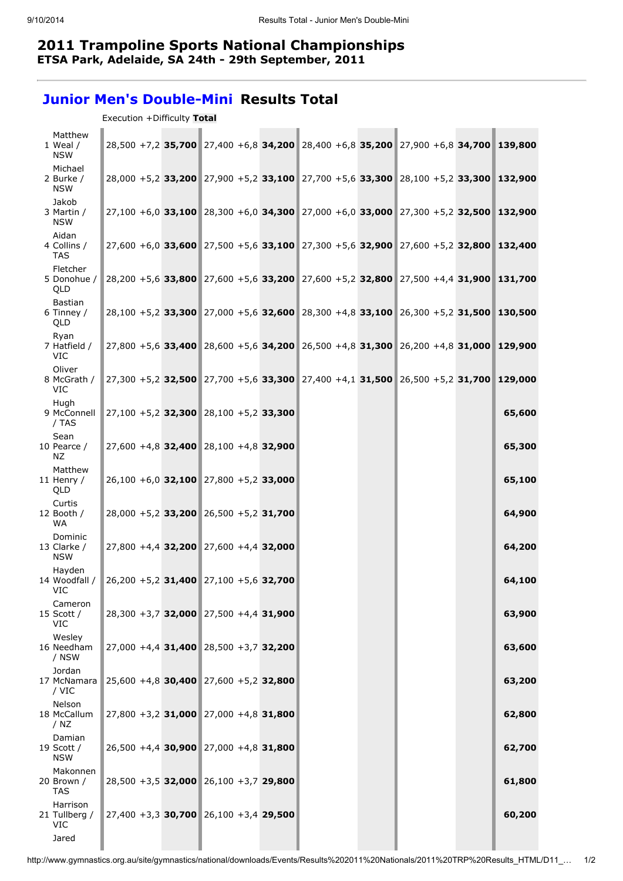## 2011 Trampoline Sports National Championships ETSA Park, Adelaide, SA 24th - 29th September, 2011

## Junior Men's Double-Mini Results Total

| Matthew<br>1 Weal /<br><b>NSW</b>       |  |                                          |  | 28,500 +7,2 35,700 27,400 +6,8 34,200 28,400 +6,8 35,200 27,900 +6,8 34,700 139,800 |        |
|-----------------------------------------|--|------------------------------------------|--|-------------------------------------------------------------------------------------|--------|
| Michael<br>2 Burke /<br><b>NSW</b>      |  |                                          |  | 28,000 +5,2 33,200 27,900 +5,2 33,100 27,700 +5,6 33,300 28,100 +5,2 33,300 132,900 |        |
| Jakob<br>3 Martin /<br><b>NSW</b>       |  |                                          |  | 27,100 +6,0 33,100 28,300 +6,0 34,300 27,000 +6,0 33,000 27,300 +5,2 32,500 132,900 |        |
| Aidan<br>4 Collins /<br><b>TAS</b>      |  |                                          |  | 27,600 +6,0 33,600 27,500 +5,6 33,100 27,300 +5,6 32,900 27,600 +5,2 32,800 132,400 |        |
| Fletcher<br>5 Donohue /<br>QLD          |  |                                          |  | 28,200 +5,6 33,800 27,600 +5,6 33,200 27,600 +5,2 32,800 27,500 +4,4 31,900 131,700 |        |
| <b>Bastian</b><br>6 Tinney /<br>QLD     |  |                                          |  | 28,100 +5,2 33,300 27,000 +5,6 32,600 28,300 +4,8 33,100 26,300 +5,2 31,500 130,500 |        |
| Ryan<br>7 Hatfield /<br><b>VIC</b>      |  |                                          |  | 27,800 +5,6 33,400 28,600 +5,6 34,200 26,500 +4,8 31,300 26,200 +4,8 31,000 129,900 |        |
| Oliver<br>8 McGrath /<br><b>VIC</b>     |  |                                          |  | 27,300 +5,2 32,500 27,700 +5,6 33,300 27,400 +4,1 31,500 26,500 +5,2 31,700 129,000 |        |
| Huah<br>9 McConnell<br>/ TAS            |  | 27,100 +5,2 32,300 28,100 +5,2 33,300    |  |                                                                                     | 65,600 |
| Sean<br>10 Pearce /<br>NZ.              |  | 27,600 +4,8 32,400 28,100 +4,8 32,900    |  |                                                                                     | 65,300 |
| Matthew<br>11 Henry $/$<br>QLD          |  | $26,100 + 6,0$ 32,100 27,800 +5,2 33,000 |  |                                                                                     | 65,100 |
| Curtis<br>12 Booth /<br><b>WA</b>       |  | 28,000 +5,2 33,200 26,500 +5,2 31,700    |  |                                                                                     | 64,900 |
| Dominic<br>13 Clarke /<br><b>NSW</b>    |  | 27,800 +4,4 32,200 27,600 +4,4 32,000    |  |                                                                                     | 64,200 |
| Hayden<br>14 Woodfall /<br>VIC          |  | 26,200 +5,2 31,400 27,100 +5,6 32,700    |  |                                                                                     | 64,100 |
| Cameron<br>15 Scott /<br>VIC            |  | 28,300 +3,7 32,000 27,500 +4,4 31,900    |  |                                                                                     | 63,900 |
| Wesley<br>16 Needham<br>/ NSW           |  | 27,000 +4,4 31,400 28,500 +3,7 32,200    |  |                                                                                     | 63,600 |
| Jordan<br>17 McNamara<br>/ VIC          |  | $25,600 + 4,8$ 30,400 27,600 +5,2 32,800 |  |                                                                                     | 63,200 |
| Nelson<br>18 McCallum<br>/ $NZ$         |  | 27,800 +3,2 31,000 27,000 +4,8 31,800    |  |                                                                                     | 62,800 |
| Damian<br>19 Scott /<br><b>NSW</b>      |  | 26,500 +4,4 30,900 27,000 +4,8 31,800    |  |                                                                                     | 62,700 |
| Makonnen<br>20 Brown /<br>TAS           |  | 28,500 +3,5 32,000 26,100 +3,7 29,800    |  |                                                                                     | 61,800 |
| Harrison<br>21 Tullberg /<br><b>VIC</b> |  | $27,400 + 3,3$ 30,700 26,100 +3,4 29,500 |  |                                                                                     | 60,200 |
| Jared                                   |  |                                          |  |                                                                                     |        |